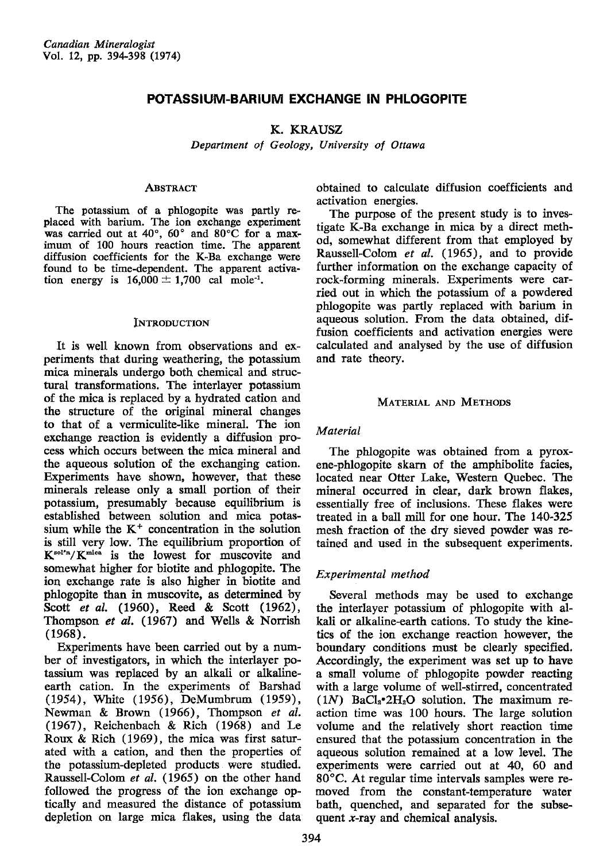# POTASSIUM-BARIUM EXCHANGE IN PHLOGOPITE

## K. KRAUSZ

Department of Geology, University of Ottawa

## **ABSTRACT**

The potassium of a phlogopite was partly re. placed with barium, The ion exchange experiment was carried out at  $40^{\circ}$ ,  $60^{\circ}$  and  $80^{\circ}$ C for a maximum of 100 hours reaction time. The appaxent diffusion coefficients for the K-Ba exchange were found to be time-dependent. The apparent activation energy is  $16,000 \pm 1,700$  cal mole<sup>-1</sup>.

## **INTRODUCTION**

It is well known from observations and experiments that during weathering, the potassium mica minerals undergo both chemical and structural transformations. The interlayer potassium of the mica is replaced by a hydrated cation and tho structure of the original mineral changes to that of a vermiculite-like mineral. The ion exchange reaction is evidently a diffusion process which occurs between the mica mineral and the aqueous solution of the exchanging cation. Experiments have shown, however, that these minerals release only a small portion of their potassium, presumably because equilibrium is established between scilution and mica potassium while the  $K<sup>+</sup>$  concentration in the solution is still very low. The equilibrium proportion of  $K^{\text{sol'n}}/K^{\text{mica}}$  is the lowest for muscovite and somewhat higher for biotite and phlogopite. The ion exchange rate is also higher in biotite and phlogopite than in muscovite, as determined by Scott et al. (1960), Reed & Scott (1962), Thompson et al. (1967) and Wells & Norrish  $(1968).$ 

Experiments have been carried out by a number of investigators, in which the interlayer potassium was replaced by an alkali or alkalineearth cation. In the experiments of Barshad (1954), White (1956), DeMumbrum (1959), Newman & Brown (1966), Thompson et al. (1967), Reichenbach & Rich (1968) and Le Roux & Rich (1969), the mica was first saturated with a cation, and then the properties of the potassium-depleted products were studied. Raussell-Colom et al. (1965) on the other hand followed the progress of the ion exchange optically and measured the distance of potassium depletion on large mica flakes, using the data obtained to calculate diffusion coefficients and activation energies.

The purpose of the present study is to investigate K-Ba exchange in mica by a direct method, somewhat different from that employed by Raussell-Colom et  $al.$  (1965), and to provide further information on the exchange capacity of rock-forming minerals. Experiments were carried out in which the potassium of a powdered phlogopite was partly replaced with barium in agueous solution. From the data obtained, diffusion coefficients and activation energies were calculated and analysed by the use of diffusion and rate theorv.

## MATERIAL AND METHODS

## Material

The phlogopite was obtained from a pyroxene-phlogopite skarn of the amphibolite facies, located near Otter Lake, Western Quebec. The mineral occurred in clear, dark brown flakes, essentially free of inclusions. These flakes were treated in a ball mill for one hour. The 140-325 mesh fraction of the dry sieved powder was tetained and used in the subsequent experiments.

## Experimental method

Several methods may be used to exchange tho interlayer potassium of phlogopite with alkali or alkaline-earth cations. To study the kinetics of the ion exchange reaction however, the boundary conditions must be clearly specified. Accordingly, the experiment was set up to have a small volume of phlogopite powder reacting with a large volume of well-stirred, concentrated (1N)  $BaCl<sub>2</sub>•2H<sub>2</sub>O$  solution. The maximum reaction time was 100 hours. The large solution volume and the relatively short reaction time ensured that the potassium concentration in the aqueous solution remained at a low level. The experiments were carried out at 40, 60 and 80"C. At regular time intervals samples were removed from the constant-temperature water bath, quenched, and separated for the subsequent  $x$ -ray and chemical analysis.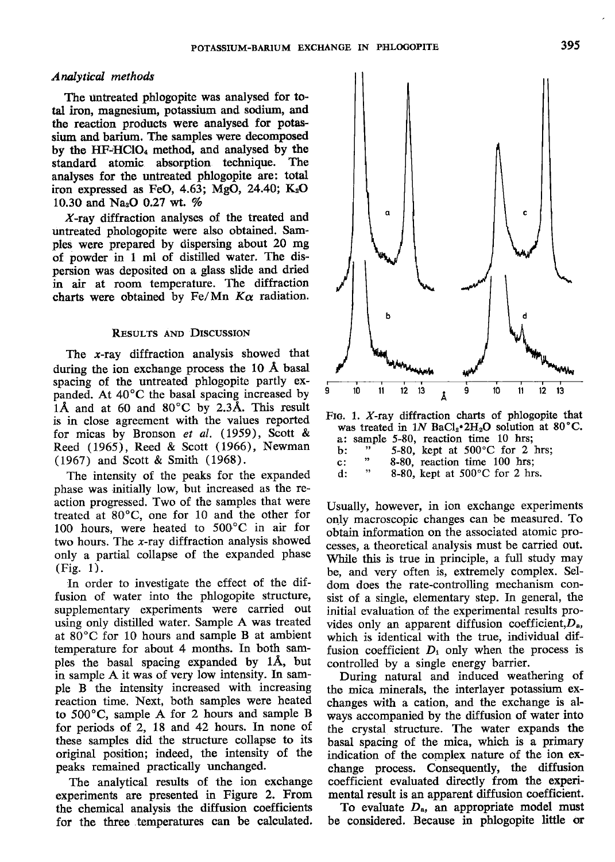### Analytical methods

The untreated phlogopite was analysed for total iron, magnesium, potassium and sodium, and the reaction products were analysed for potassium and barium. The samples were decomposed by the HF-HClO<sub>4</sub> method, and analysed by the standard atomic absorption technique. The analyses for the untreated phlogopite are: total iron expressed as FeO,  $4.63$ ; MgO,  $24.40$ ; K<sub>2</sub>O 10.30 and Na<sub>2</sub>O 0.27 wt. %

X-ray diffraction analyses of the treated and untreated phologopite were also obtained. Samples were prepared by dispersing about 20 mg of powder in 1 ml of distilled water. The dis' persion was deposited on a glass slide and dried in air at room temperature. The diffraction charts were obtained by Fe/Mn  $K_{\alpha}$  radiation.

#### RESULTS AND DISCUSSION

The  $x$ -ray diffraction analysis showed that during the ion exchange process the 10 A basal spacing of the untreated phlogopite partly expanded. At  $40^{\circ}$ C the basal spacing increased by 1Å and at 60 and 80°C by 2.3Å. This result is in close agreement with the values reported for micas by Bronson et al. (1959), Scott & Reed  $(1965)$ , Reed & Scott  $(1966)$ , Newman (1967) and Scott & Smith (1968).

The intensity of the peaks for the expanded phase was initially low, but increased as the reaction progressed. Two of the samples that were treated at 80'C, one for 10 and the other for 100 hours, were heated to  $500^{\circ}$ C in air for two hours. The x-ray diffraction analysis showed only a partial collapse of the expanded phase (Fig. 1).

In order to investigate the effect of the diffusion of water into the phlogopite structure, supplementary experiments were carried out using only distilled water. Sample A was treated at  $80^{\circ}$ C for 10 hours and sample B at ambient temperature for about 4 months. In both samples the basal spacing expanded by 1A, but in sample A it was of very low intensity. In sample B the intensity increased with increasing reaction time. Next, both samples were heated to  $500^{\circ}$ C, sample A for 2 hours and sample B for periods of 2, L8 and 42 hours. In none of these samples did the structure collapse to its original position; indeed, the intensity of the peaks remained practically unchanged.

The analytical results of the ion exchange experiments are presented in Figure 2. From the chemical analysis the diffusion coefficients for the three .temperatures can be calculated.



| . .            |  | $5 - 00$ , $\frac{1}{2}$ at $500 - 0.101 = 100$ |  |  |
|----------------|--|-------------------------------------------------|--|--|
| $\mathbf{c}$ : |  | 8-80, reaction time 100 hrs:                    |  |  |

d :  $\frac{8-80}{2}$ , reaction time 100 hrs;<br> $\frac{8-80}{2}$  kept at 500 °C for 2 hrs 8-80, kept at  $500^{\circ}$ C for 2 hrs.

Usually, however, in ion exchange experiments only macroscopic changes can be measured. To obtain information on the associated atomic processes, a theoretical analysis must be carried out. While this is true in principle, a full study may be, and very often is, extremely complex. Seldom does the rate-controlling mechanism consist of a single, elementary step. In general, the initial evaluation of the experimental results provides only an apparent diffusion coefficient,  $D_{a}$ , which is identical with the true, individual diffusion coefficient  $D_i$  only when the process is controlled by a single energy barrier.

During natural and induced weathering of the mica minerals, the interlayer potassium exchanges with a cation, and the exchange is always accompanied by the diffusion of water into the crystal structure. The water expands the basal spacing of the mica, which is a primary indication of the complex nature of the ion exchange process. Consequently, the diffusion coefficient evaluated directly from the experimental result is an apparent diffusion coefficient.

To evaluate  $D_a$ , an appropriate model must be considered. Because in phlogopite little or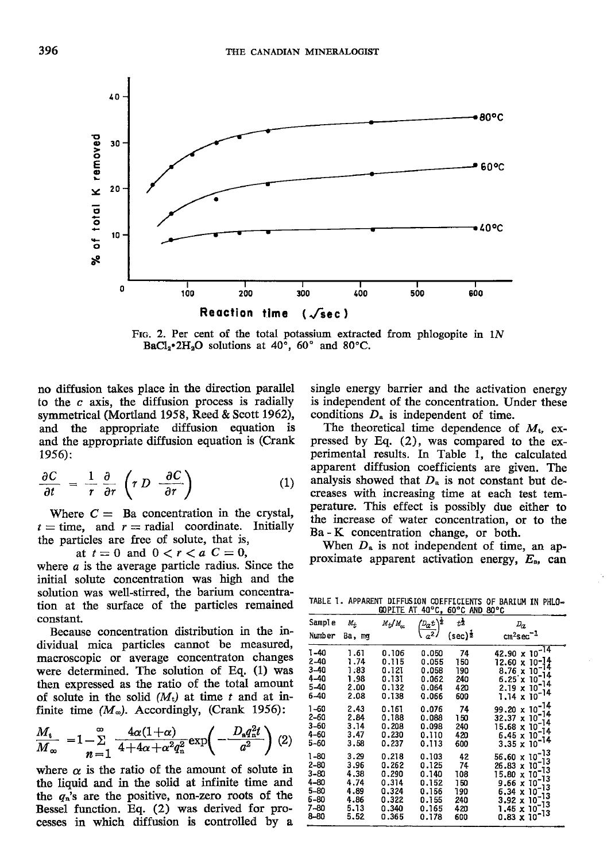

FIG. 2. Per cent of the total potassium extracted from phlogopite in  $1N$ BaCl<sub>2</sub>\*2H<sub>2</sub>O solutions at 40°, 60° and 80°C.

no diffusion takes place in the direction parallel to the  $c$  axis, the diffusion process is radially symmetrical (Mortland 1958, Reed & Scott 1962), and the appropriate diffusion equation is and the appropriate diffusion equation is (Crank  $1956$ :

$$
\frac{\partial C}{\partial t} = \frac{1}{r} \frac{\partial}{\partial r} \left( r D \frac{\partial C}{\partial r} \right) \tag{1}
$$

Where  $C =$  Ba concentration in the crystal,  $t =$  time, and  $r =$  radial coordinate. Initially the particles are free of solute, that is,

at  $t=0$  and  $0 < r < a$   $C=0$ ,

where  $a$  is the average particle radius. Since the initial solute concentration was high and the solution was well-stirred, the barium concentration at the surface of the particles remained constant.

Because concentration distribution in the individual mica particles cannot be measured, macroscopic or average concentraton changes were determined. The solution of Eq. (1) was then expressed as the ratio of the total amount of solute in the solid  $(M_t)$  at time t and at infinite time  $(M_{\infty})$ . Accordingly, (Crank 1956):

$$
\frac{M_{\rm t}}{M_{\infty}} = 1 - \sum_{n=1}^{\infty} \frac{4\alpha(1+\alpha)}{4+4\alpha+\alpha^2q_{\rm n}^2} \exp\left(-\frac{D_{\rm s}q_{\rm n}^2l}{a^2}\right) (2)
$$

where  $\alpha$  is the ratio of the amount of solute in the liquid and in the solid at infinite time and the  $q_n$ 's are the positive, non-zero roots of the Bessel function. Eq. (2) was derived for processes in which diffusion is controlled by a

single energy barrier and the activation energy is independent of the concentration. Under these conditions  $D_a$  is independent of time.

The theoretical time dependence of  $M_t$ , expressed by Eq. (2), was compared to the experimental results. In Table 1, the calculated apparent diffusion coefficients are given. The analysis showed that  $D_a$  is not constant but decreases with increasing time at each test temperature. This effect is possibly due either to the increase of water concentration, or to the Ba - K concentration change, or both.

When  $D_a$  is not independent of time, an approximate apparent activation energy,  $E_a$ , can

TABLE 1. APPARENT DIFFUSION COEFFICIENTS OF BARIUM IN PHLO-

| GOPLTE AT<br>$40^{\circ}$ C, $60^{\circ}$ C AND $80^{\circ}$ C |                                      |                                           |                                           |                                |                                                                                                                              |  |  |
|----------------------------------------------------------------|--------------------------------------|-------------------------------------------|-------------------------------------------|--------------------------------|------------------------------------------------------------------------------------------------------------------------------|--|--|
| Sample                                                         | $M_{+}$                              | $M_{\rm H}/M_{\rm m}$                     | $\frac{1}{2}$                             | tż                             | $D_{\alpha}$                                                                                                                 |  |  |
| Number                                                         | Ba, mg                               |                                           | $a^2$                                     | $(\sec)^{\frac{1}{2}}$         | $cm2sec-1$                                                                                                                   |  |  |
| 1-40<br>$2 - 40$<br>$3 - 40$<br>$4 - 40$<br>$5 - 40$           | 1.61<br>1.74<br>1:83<br>1.98<br>2.00 | 0.106<br>0.115<br>0.121<br>0.131<br>0.132 | 0.050<br>0.055<br>0.058<br>0.062<br>0.064 | 74<br>150<br>190<br>240<br>420 | $42.90 \times 10^{-14}$<br>$12.60 \times 10^{-14}$<br>8.76 x 10 <sup>-14</sup><br>$6.25 \times 10$<br>$2.19 \times 10^{-14}$ |  |  |
| $6 - 40$                                                       | 2.08                                 | 0.138                                     | 0.066                                     | 600                            | $1.14 \times 10^{-14}$                                                                                                       |  |  |
| $1 - 60$                                                       | 2.43                                 | 0.161                                     | 0.076                                     | 74                             | $99.20 \times 10^{-14}$                                                                                                      |  |  |
| $2 - 60$                                                       | 2.84                                 | 0.188                                     | 0.088                                     | 150                            | $32.37 \times 10^{-14}$                                                                                                      |  |  |
| $3 - 60$                                                       | 3.14                                 | 0.208                                     | 0.098                                     | 240                            | $15.68 \times 10^{-14}$                                                                                                      |  |  |
| 4-60                                                           | 3.47                                 | 0.230                                     | 0.110                                     | 420                            | $6.45 \times 10^{-14}$                                                                                                       |  |  |
| 5-60                                                           | 3.58                                 | 0.237                                     | 0.113                                     | 600                            | $3.35 \times 10^{-14}$                                                                                                       |  |  |
| 1-80                                                           | 3.29                                 | 0.218                                     | 0.103                                     | 42                             | $56.60 \times 10^{-13}$                                                                                                      |  |  |
| $2 - 80$                                                       | 3.96                                 | 0.262                                     | 0.125                                     | 74                             | $26.83 \times 10^{-13}$                                                                                                      |  |  |
| $3 - 80$                                                       | 4.38                                 | 0.290                                     | 0.140                                     | 108                            | 15.80 x 10 <sup>-13</sup>                                                                                                    |  |  |
| $4 - 80$                                                       | 4.74                                 | 0.314                                     | 0.152                                     | 150                            | $9.66 \times 10^{-13}$                                                                                                       |  |  |
| $5 - 80$                                                       | 4.89                                 | 0.324                                     | 0.156                                     | 190                            | 6.34 x 10                                                                                                                    |  |  |
| $6 - 80$                                                       | 4.86                                 | 0.322                                     | 0.155                                     | 240                            | $3.92 \times 10^{-13}$                                                                                                       |  |  |
| $7 - 80$                                                       | 5.13                                 | 0.340                                     | 0.165                                     | 420                            | $1.45 \times 10^{-13}$                                                                                                       |  |  |
| $8 - 80$                                                       | 5.52                                 | 0.365                                     | 0.178                                     | 600                            | $0.83 \times 10^{-13}$                                                                                                       |  |  |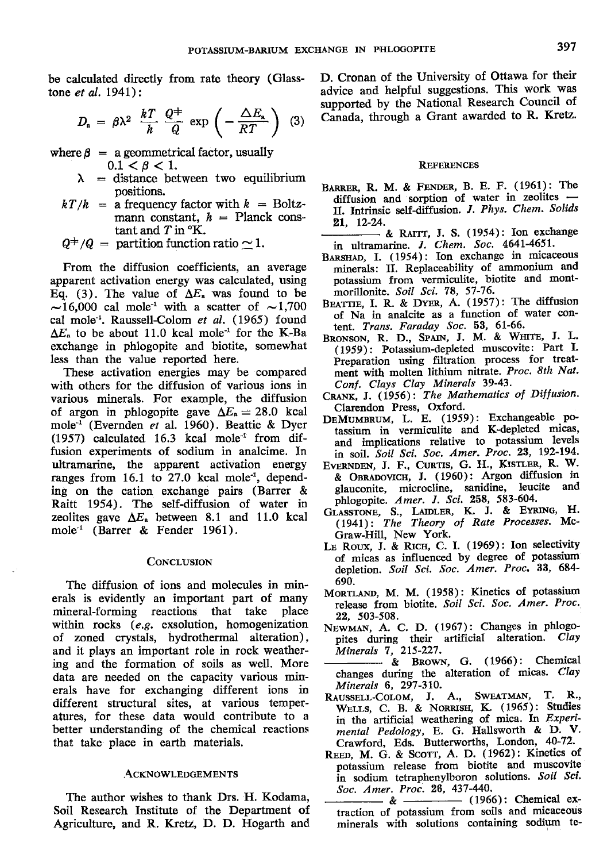be calculated directly from rate theory (Glasstone et al.  $1941$ :

$$
D_{\rm a} = \beta \lambda^2 \frac{kT}{h} \frac{Q^+}{Q} \exp \left(-\frac{\Delta E_{\rm a}}{RT}\right) (3) \quad \stackrel{\text{SU}}{C_2}
$$

where  $\beta$  = a geommetrical factor, usually  $0.1 < \beta < 1.$ 

- $\lambda$  = distance between two equilibrium positions.
- $kT/h$  = a frequency factor with  $k$  = Boltzmann constant,  $h =$  Planck constant and  $T$  in  $\mathrm{K}$ .
- $Q^+/Q =$  partition function ratio  $\sim 1$ .

From the diffusion coefficients, an average apparent activation energy was calculated, using Eq. (3). The value of  $\Delta E_a$  was found to be  $\sim$ 16,000 cal mole<sup>-1</sup> with a scatter of  $\sim$ 1,700 cal mole<sup>-1</sup>. Raussell-Colom et al.  $(1965)$  found  $\Delta E_a$  to be about 11.0 kcal mole<sup>-1</sup> for the K-Ba exchange in phlogopite and biotite, somewhat less than the value reported here.

These activation energies may be compared with others for the diffusion of various ions in various minerals. For example, the diffusion of argon in phlogopite gave  $\Delta E_a=28.0$  kcal mole<sup>-1</sup> (Evernden et al. 1960). Beattie & Dyer (1957) calculated 16.3 kcal mole<sup>-1</sup> from diffusion experiments of sodium in analcime. In ultramarine, the apparent activation energy ranges from  $16.1$  to  $27.0$  kcal mole<sup>-1</sup>, depending on the cation exchange pairs (Barrer & Raitt 1954). The self-diffusion of water in zeolites gave  $\Delta E_a$  between 8.1 and 11.0 kcal mole-l (Barrer & Fender 1961).

#### **CONCLUSION**

The diffusion of ions and molecules in minerals is evidently an important part of many mineral-forming reactions that take place within rocks (e.9. exsolution, homogenization of zoned crystals, hydrothermal alteration), and it plays an important role in rock weathering and the formation of soils as well. More data are needed on the capacity various minerals have for exchanging different ions in different structural sites, at various temperatures, for these data would contribute to a better understanding of the chemical reactions that take place in earth materials.

## **ACKNOWLEDGEMENTS**

The author wishes to thank Drs. H. Kodama, Soil Research Institute of the Department of Agriculture, and R. Kretz, D. D. Hogarth and D. Cronan of the University of Ottawa for their advice and helpful suggestions. This work was supported by the National Research Council of Canada, through a Grant awarded to R. Kretz.

#### **REFERENCES**

- BARRER, R. M. & FENDER, B. E. F. (1961): The diffusion and sorption of water in zeolites - II. Intrinsic self-diffusion. J. Phys. Chem. Solids
- 21, 12-24.<br><u>----------</u> & RAITT, J. S. (1954): Ion exchange in ultramarine. J. Chem. Soc. 4641-4651.
- BARSHAD, I. (1954): Ion exchange in micaceous minerals: II. Replaceability of ammonium and potassium from vermiculite, biotite and montmorillonite. Soil Sci. 78, 57-76.
- BEATTIE, I. R. & DYER, A. (1957): The diffusion of Na in analcite as a function of water content. Trans. Faraday Soc. 53, 6I-66.
- BRONSON, R. D., SPAIN, J. M. & WHITE, J. L. (1959): Potassium-depleted muscovite: Part I. Preparation using filtration process for treatment with molten lithium nitrate. Proc. 8th Nat. Conf. Clays Clay Minerals 39-43.
- CRANK, J. (1956): The Mathematics of Diffusion. Clarendon Press, Oxford.
- DEMUMBRUM, L. E. (1959): Exchangeable potassium in vermiculite and K-depleted micas' and implications relative to potassium levels in soil. Soil Sci. Soc. Amer. Proc. 23, 192-194.
- EVERNDEN, J. F., CURTIS, G. H., KISTLER, R. W. & Onneoovrcn, J. (1960): Argon diffusion in glauconite, microcline, sanidine, leucite and phlogopite. Amer. J. Sci. 258, 583-604.
- GLASSTONE, S., LAIDLER, K. J. & EYRING, H. (1941): The Theory of Rate Processes. Mc' Graw-Hill, New York.
- LE ROUX, J. & RICH, C. I. (1969): Ion selectivity of micas as influenced by degree of potassium depletion. Soil Sci. Soc. Amer. Proc. 33, 684-690.
- MoRTLAND, M. M. (1958): Kinetics of potassium release from biotite. Soil Sci. Soc, Amer. Proc. 22, 503-508.
- NEWMAN, A. C. D. (1967): Changes in phlogopites during their artificial alteration. Clay Minerals 7, 215-227.
- & BROWN, G. (1966): Chemical changes during the alteration of micas. Clay Minerals 6, 297-310.
- RAUSSELL-COLOM, J. A., SWEATMAN, T. R., WELLS, C. B. & NORRISH, K. (1965): Studies in the artificial weathering of mica. In Experimental Pedology, E. G. Hallsworth & D. V. Crawford, Eds. Butterworths, London, 40-72.
- REED, M. G. & SCOTT, A. D. (1962): Kinetics of potassium release from biotite and muscovite in sodium tetraphenylboron solutions. Soil Sci. Soc. Amer. Proc. 26, 437-440.
- & (1966): Chemical extraction of potassium from soils and micaceous minerals with solutions containing sodium te-